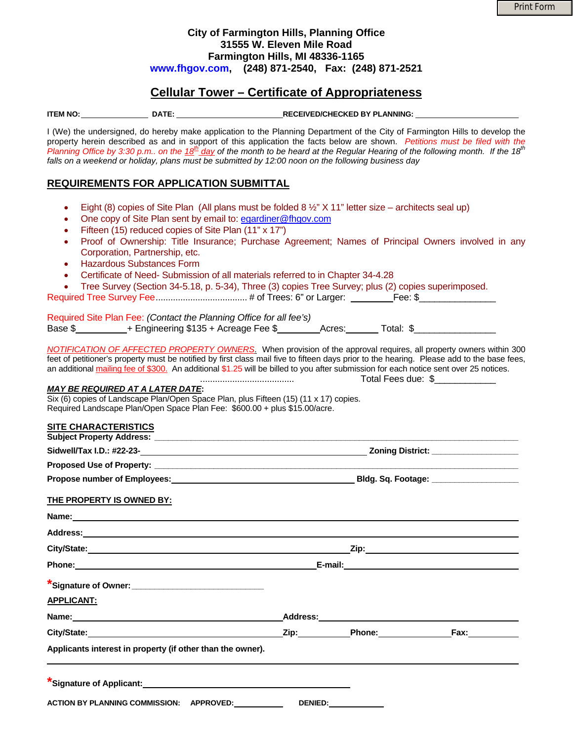## **City of Farmington Hills, Planning Office 31555 W. Eleven Mile Road Farmington Hills, MI 48336-1165 [www.fhgov.com,](http://www.fhgov.com/) (248) 871-2540, Fax: (248) 871-2521**

# **Cellular Tower – Certificate of Appropriateness**

**ITEM NO: DATE: RECEIVED/CHECKED BY PLANNING:** 

I (We) the undersigned, do hereby make application to the Planning Department of the City of Farmington Hills to develop the property herein described as and in support of this application the facts below are shown. *Petitions must be filed with the Planning Office by 3:30 p.m.. on the 18<sup>th</sup> day of the month to be heard at the Regular Hearing of the following month. If the 18<sup>th</sup> falls on a weekend or holiday, plans must be submitted by 12:00 noon on the following business day*

## **REQUIREMENTS FOR APPLICATION SUBMITTAL**

- Eight (8) copies of Site Plan (All plans must be folded 8  $\frac{1}{2}$ " X 11" letter size architects seal up)
- One copy of Site Plan sent by email to: egardiner@fhgov.com
- Fifteen (15) reduced copies of Site Plan (11" x 17")
- Proof of Ownership: Title Insurance; Purchase Agreement; Names of Principal Owners involved in any Corporation, Partnership, etc.
- Hazardous Substances Form
- Certificate of Need- Submission of all materials referred to in Chapter 34-4.28

Required Tree Survey Fee..................................... # of Trees: 6" or Larger: Fee: \$\_\_\_\_\_\_\_\_\_\_\_\_\_\_\_

|         | Required Site Plan Fee: (Contact the Planning Office for all fee's) |        |           |
|---------|---------------------------------------------------------------------|--------|-----------|
| Base \$ | + Engineering \$135 + Acreage Fee \$                                | Acres: | Total: \$ |

*NOTIFICATION OF AFFECTED PROPERTY OWNERS*. When provision of the approval requires, all property owners within 300 feet of petitioner's property must be notified by first class mail five to fifteen days prior to the hearing. Please add to the base fees, an additional mailing fee of \$300. An additional \$1.25 will be billed to you after submission for each notice sent over 25 notices. ...................................... Total Fees due: \$\_\_\_\_\_\_\_\_\_\_\_\_

### *MAY BE REQUIRED AT A LATER DATE***:**

Six (6) copies of Landscape Plan/Open Space Plan, plus Fifteen (15) (11 x 17) copies. Required Landscape Plan/Open Space Plan Fee: \$600.00 + plus \$15.00/acre.

#### **SITE CHARACTERISTICS Subject Property Address: \_\_\_\_\_\_\_\_\_\_\_\_\_\_\_\_\_\_\_\_\_\_\_\_\_\_\_\_\_\_\_\_\_\_\_\_\_\_\_\_\_\_\_\_\_\_\_\_\_\_\_\_\_\_\_\_\_\_\_\_\_\_\_\_\_\_\_\_\_\_\_\_\_\_\_\_\_\_\_\_**

| <b>OUDIECLITOPEILY AUGIESS.</b>     |                           |
|-------------------------------------|---------------------------|
| Sidwell/Tax I.D.: #22-23-           | <b>Zoning District:</b>   |
| <b>Proposed Use of Property:</b>    |                           |
| <b>Propose number of Employees:</b> | <b>Bldg. Sq. Footage:</b> |

### **THE PROPERTY IS OWNED BY:**

| Address: 2008 and 2008 and 2008 and 2008 and 2008 and 2008 and 2008 and 2008 and 2008 and 2008 and 2008 and 20 |                     |  |
|----------------------------------------------------------------------------------------------------------------|---------------------|--|
| City/State: City/State:                                                                                        |                     |  |
| Phone: 2008 2010 2010 2010 2010 2010 2011 2021 2032 2040 2041 2052 2053 2054 2055 2056 2057 2058 2059 2059 205 |                     |  |
| *Signature of Owner: __________________________________                                                        |                     |  |
| <b>APPLICANT:</b>                                                                                              |                     |  |
|                                                                                                                |                     |  |
|                                                                                                                |                     |  |
| Applicants interest in property (if other than the owner).                                                     |                     |  |
| *Signature of Applicant: Maria Contract Contract of Applicant:                                                 |                     |  |
| ACTION BY PLANNING COMMISSION: APPROVED:                                                                       | <b>DENIED:</b> 2004 |  |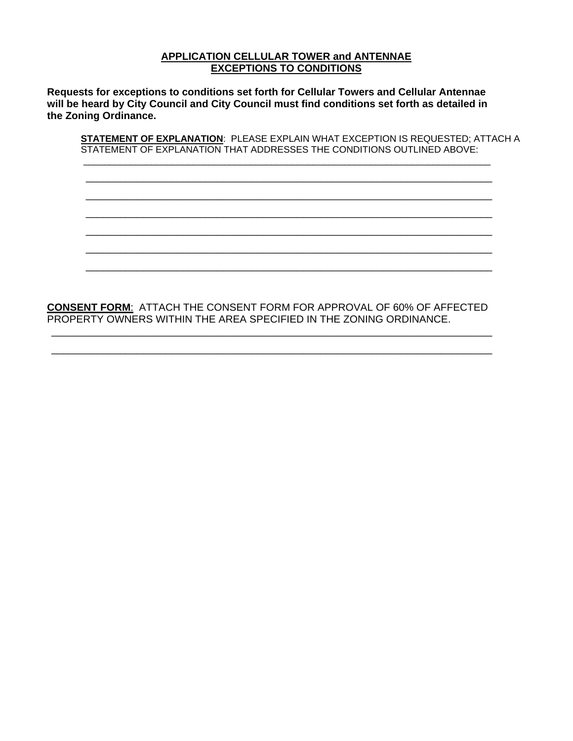## **APPLICATION CELLULAR TOWER and ANTENNAE EXCEPTIONS TO CONDITIONS**

**Requests for exceptions to conditions set forth for Cellular Towers and Cellular Antennae will be heard by City Council and City Council must find conditions set forth as detailed in the Zoning Ordinance.** 

**STATEMENT OF EXPLANATION**: PLEASE EXPLAIN WHAT EXCEPTION IS REQUESTED; ATTACH A STATEMENT OF EXPLANATION THAT ADDRESSES THE CONDITIONS OUTLINED ABOVE:

\_\_\_\_\_\_\_\_\_\_\_\_\_\_\_\_\_\_\_\_\_\_\_\_\_\_\_\_\_\_\_\_\_\_\_\_\_\_\_\_\_\_\_\_\_\_\_\_\_\_\_\_\_\_\_\_\_\_\_\_\_\_\_\_\_\_\_\_\_\_\_\_\_\_\_\_\_\_ \_\_\_\_\_\_\_\_\_\_\_\_\_\_\_\_\_\_\_\_\_\_\_\_\_\_\_\_\_\_\_\_\_\_\_\_\_\_\_\_\_\_\_\_\_\_\_\_\_\_\_\_\_\_\_\_\_\_\_\_\_\_\_\_\_\_\_\_\_\_\_ \_\_\_\_\_\_\_\_\_\_\_\_\_\_\_\_\_\_\_\_\_\_\_\_\_\_\_\_\_\_\_\_\_\_\_\_\_\_\_\_\_\_\_\_\_\_\_\_\_\_\_\_\_\_\_\_\_\_\_\_\_\_\_\_\_\_\_\_\_\_\_ \_\_\_\_\_\_\_\_\_\_\_\_\_\_\_\_\_\_\_\_\_\_\_\_\_\_\_\_\_\_\_\_\_\_\_\_\_\_\_\_\_\_\_\_\_\_\_\_\_\_\_\_\_\_\_\_\_\_\_\_\_\_\_\_\_\_\_\_\_\_\_ \_\_\_\_\_\_\_\_\_\_\_\_\_\_\_\_\_\_\_\_\_\_\_\_\_\_\_\_\_\_\_\_\_\_\_\_\_\_\_\_\_\_\_\_\_\_\_\_\_\_\_\_\_\_\_\_\_\_\_\_\_\_\_\_\_\_\_\_\_\_\_ \_\_\_\_\_\_\_\_\_\_\_\_\_\_\_\_\_\_\_\_\_\_\_\_\_\_\_\_\_\_\_\_\_\_\_\_\_\_\_\_\_\_\_\_\_\_\_\_\_\_\_\_\_\_\_\_\_\_\_\_\_\_\_\_\_\_\_\_\_\_\_ \_\_\_\_\_\_\_\_\_\_\_\_\_\_\_\_\_\_\_\_\_\_\_\_\_\_\_\_\_\_\_\_\_\_\_\_\_\_\_\_\_\_\_\_\_\_\_\_\_\_\_\_\_\_\_\_\_\_\_\_\_\_\_\_\_\_\_\_\_\_\_

**CONSENT FORM**: ATTACH THE CONSENT FORM FOR APPROVAL OF 60% OF AFFECTED PROPERTY OWNERS WITHIN THE AREA SPECIFIED IN THE ZONING ORDINANCE.

\_\_\_\_\_\_\_\_\_\_\_\_\_\_\_\_\_\_\_\_\_\_\_\_\_\_\_\_\_\_\_\_\_\_\_\_\_\_\_\_\_\_\_\_\_\_\_\_\_\_\_\_\_\_\_\_\_\_\_\_\_\_\_\_\_\_\_\_\_\_\_\_\_\_\_\_\_ \_\_\_\_\_\_\_\_\_\_\_\_\_\_\_\_\_\_\_\_\_\_\_\_\_\_\_\_\_\_\_\_\_\_\_\_\_\_\_\_\_\_\_\_\_\_\_\_\_\_\_\_\_\_\_\_\_\_\_\_\_\_\_\_\_\_\_\_\_\_\_\_\_\_\_\_\_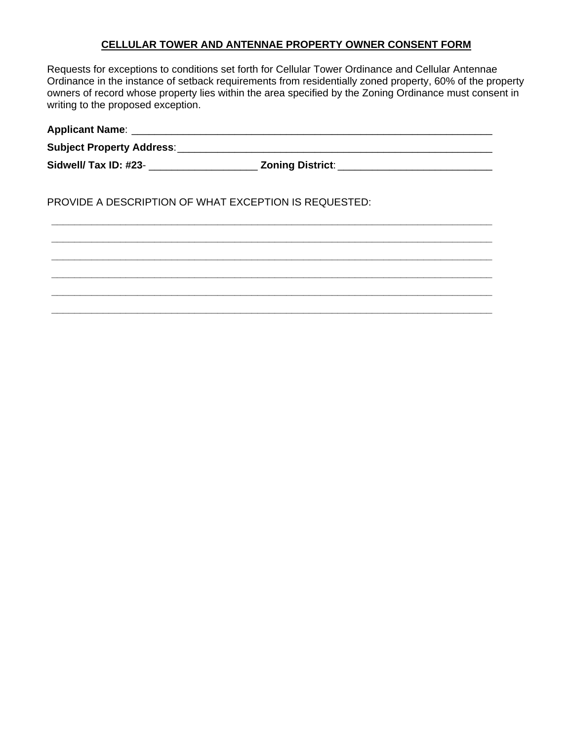### **CELLULAR TOWER AND ANTENNAE PROPERTY OWNER CONSENT FORM**

Requests for exceptions to conditions set forth for Cellular Tower Ordinance and Cellular Antennae Ordinance in the instance of setback requirements from residentially zoned property, 60% of the property owners of record whose property lies within the area specified by the Zoning Ordinance must consent in writing to the proposed exception.

| Sidwell/ Tax ID: #23- _________________________ Zoning District: __________________________________ |  |
|-----------------------------------------------------------------------------------------------------|--|
| <b>PROVIDE A DESCRIPTION OF WHAT EXCEPTION IS REQUESTED:</b>                                        |  |
|                                                                                                     |  |
|                                                                                                     |  |
|                                                                                                     |  |
|                                                                                                     |  |